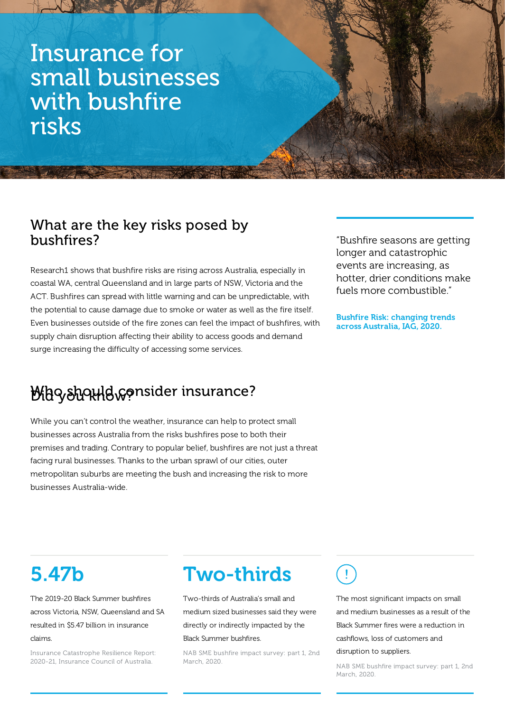# Insurance for small businesses with bushfire risks

### What are the key risks posed by bushfires?

Research1 shows that bushfire risks are rising across Australia, especially in coastal WA, central Queensland and in large parts of NSW, Victoria and the ACT. Bushfires can spread with little warning and can be unpredictable, with the potential to cause damage due to smoke or water as well as the fire itself. Even businesses outside of the fire zones can feel the impact of bushfires, with supply chain disruption affecting their ability to access goods and demand surge increasing the difficulty of accessing some services.

"Bushfire seasons are getting longer and catastrophic events are increasing, as hotter, drier conditions make fuels more combustible."

Bushfire Risk: changing trends across Australia, IAG, 2020.

### MhGyday Hawrider insurance?

While you can't control the weather, insurance can help to protect small businesses across Australia from the risks bushfires pose to both their premises and trading. Contrary to popular belief, bushfires are not just a threat facing rural businesses. Thanks to the urban sprawl of our cities, outer metropolitan suburbs are meeting the bush and increasing the risk to more businesses Australia-wide.

# 5.47b

The 2019-20 Black Summer bushfires across Victoria, NSW, Queensland and SA resulted in \$5.47 billion in insurance claims.

Insurance Catastrophe Resilience Report: 2020-21, Insurance Council of Australia.

### Two-thirds

Two-thirds of Australia's small and medium sized businesses said they were directly or indirectly impacted by the Black Summer bushfires.

NAB SME bushfire impact survey: part 1, 2nd March, 2020.

Ţ

The most significant impacts on small and medium businesses as a result of the Black Summer fires were a reduction in cashflows, loss of customers and disruption to suppliers.

NAB SME bushfire impact survey: part 1, 2nd March, 2020.